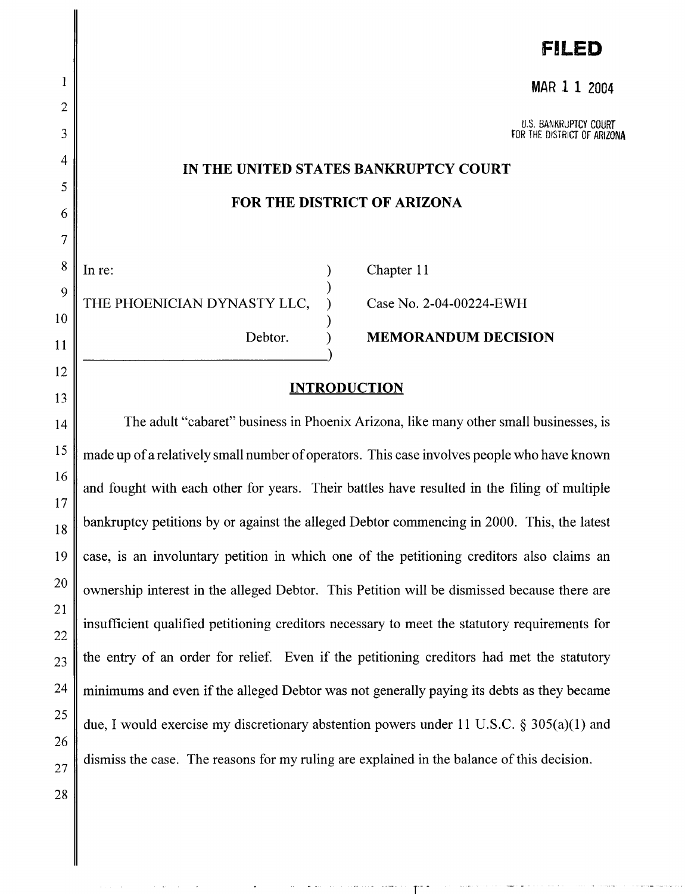# **F!LED**

#### **MAR 11** 2004

U.S. BANKRUPTCY COURT FOR THE DISTRICT OF ARIZONA

#### **IN THE UNITED STATES BANKRUPTCY COURT**

#### **FOR THE DISTRICT OF ARIZONA**

) ) ) ) )

In re: (a) Chapter 11 THE PHOENICIAN DYNASTY LLC,

Case No. 2-04-00224-EWH

Debtor. **MEMORANDUM DECISION** 

#### **INTRODUCTION**

The adult "cabaret" business in Phoenix Arizona, like many other small businesses, is made up of a relatively small number of operators. This case involves people who have known and fought with each other for years. Their battles have resulted in the filing of multiple bankruptcy petitions by or against the alleged Debtor commencing in 2000. This, the latest case, is an involuntary petition in which one of the petitioning creditors also claims an ownership interest in the alleged Debtor. This Petition will be dismissed because there are insufficient qualified petitioning creditors necessary to meet the statutory requirements for the entry of an order for relief. Even if the petitioning creditors had met the statutory  $24$  minimums and even if the alleged Debtor was not generally paying its debts as they became 25 due, I would exercise my discretionary abstention powers under 11 U.S.C. § 305(a)(1) and dismiss the case. The reasons for my ruling are explained in the balance of this decision.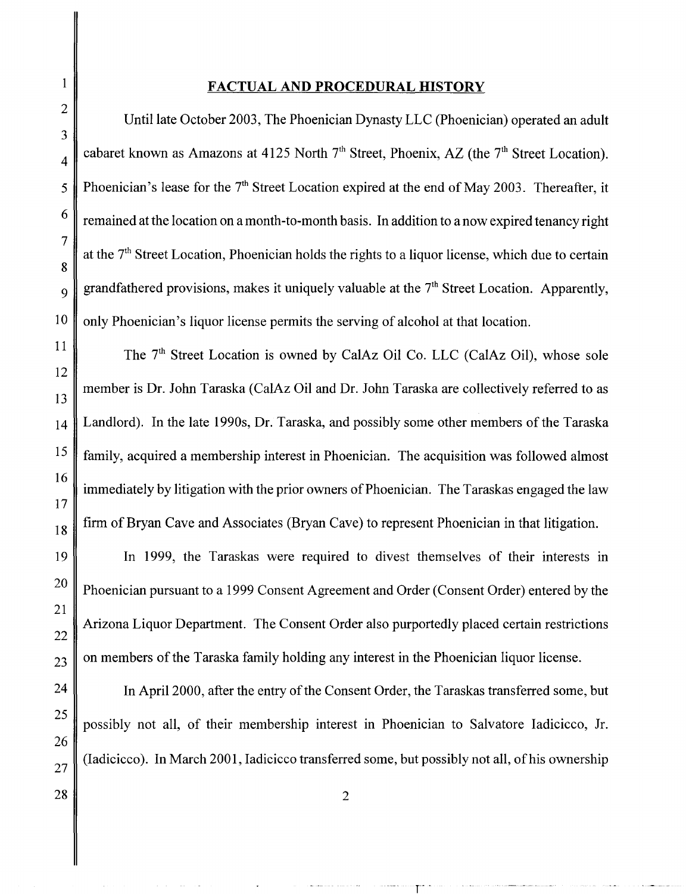#### **FACTUAL AND PROCEDURAL HISTORY**

1

Until late October 2003, The Phoenician Dynasty LLC (Phoenician) operated an adult cabaret known as Amazons at 4125 North  $7<sup>th</sup>$  Street, Phoenix, AZ (the  $7<sup>th</sup>$  Street Location). Phoenician's lease for the  $7<sup>th</sup>$  Street Location expired at the end of May 2003. Thereafter, it remained at the location on a month-to-month basis. In addition to a now expired tenancy right at the  $7<sup>th</sup>$  Street Location, Phoenician holds the rights to a liquor license, which due to certain grandfathered provisions, makes it uniquely valuable at the  $7<sup>th</sup>$  Street Location. Apparently, only Phoenician's liquor license permits the serving of alcohol at that location.

The 7<sup>th</sup> Street Location is owned by CalAz Oil Co. LLC (CalAz Oil), whose sole member is Dr. John Taraska (CalAz Oil and Dr. John Taraska are collectively referred to as Landlord). In the late 1990s, Dr. Taraska, and possibly some other members of the Taraska family, acquired a membership interest in Phoenician. The acquisition was followed almost immediately by litigation with the prior owners of Phoenician. The Taraskas engaged the law firm of Bryan Cave and Associates (Bryan Cave) to represent Phoenician in that litigation.

In 1999, the Taraskas were required to divest themselves of their interests in Phoenician pursuant to a 1999 Consent Agreement and Order (Consent Order) entered by the Arizona Liquor Department. The Consent Order also purportedly placed certain restrictions on members of the Taraska family holding any interest in the Phoenician liquor license.

In April2000, after the entry of the Consent Order, the Taraskas transferred some, but possibly not all, of their membership interest in Phoenician to Salvatore Iadicicco, Jr. (Iadicicco). In March 2001, Iadicicco transferred some, but possibly not all, of his ownership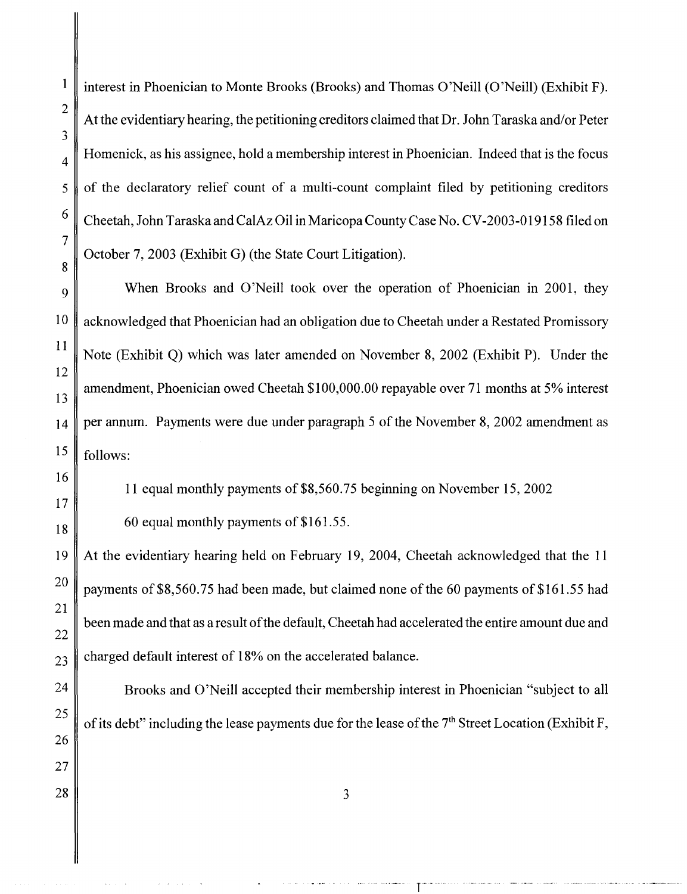interest in Phoenician to Monte Brooks (Brooks) and Thomas O'Neill (O'Neill) (Exhibit F). At the evidentiary hearing, the petitioning creditors claimed that Dr. John Taraska and/or Peter  $\frac{4}{4}$  Homenick, as his assignee, hold a membership interest in Phoenician. Indeed that is the focus of the declaratory relief count of a multi-count complaint filed by petitioning creditors Cheetah, John Taraska and CalAz Oil in Maricopa County Case No. CV -2003-019158 filed on October 7, 2003 (Exhibit G) (the State Court Litigation).

When Brooks and O'Neill took over the operation of Phoenician in 2001, they acknowledged that Phoenician had an obligation due to Cheetah under a Restated Promissory Note (Exhibit Q) which was later amended on November 8, 2002 (Exhibit P). Under the amendment, Phoenician owed Cheetah \$100,000.00 repayable over 71 months at 5% interest 14 per annum. Payments were due under paragraph 5 of the November 8, 2002 amendment as  $15$  follows:

11 equal monthly payments of\$8,560.75 beginning on November 15,2002

60 equal monthly payments of \$161.5 5.

19 At the evidentiary hearing held on February 19, 2004, Cheetah acknowledged that the 11 20 payments of \$8,560.75 had been made, but claimed none of the 60 payments of \$161.55 had been made and that as a result of the default, Cheetah had accelerated the entire amount due and charged default interest of 18% on the accelerated balance.

Brooks and O'Neill accepted their membership interest in Phoenician "subject to all of its debt" including the lease payments due for the lease of the  $7<sup>th</sup>$  Street Location (Exhibit F,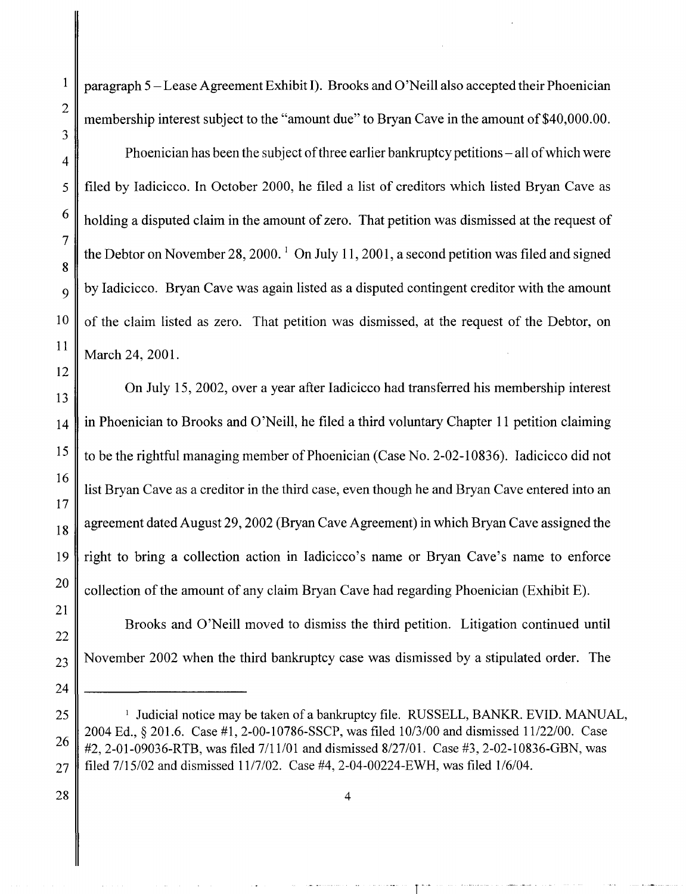<sup>1</sup> paragraph 5 – Lease Agreement Exhibit I). Brooks and O'Neill also accepted their Phoenician membership interest subject to the "amount due" to Bryan Cave in the amount of \$40,000.00.

Phoenician has been the subject of three earlier bankruptcy petitions- all of which were filed by Iadicicco. In October 2000, he filed a list of creditors which listed Bryan Cave as holding a disputed claim in the amount of zero. That petition was dismissed at the request of the Debtor on November 28, 2000.<sup>1</sup> On July 11, 2001, a second petition was filed and signed by Iadicicco. Bryan Cave was again listed as a disputed contingent creditor with the amount of the claim listed as zero. That petition was dismissed, at the request of the Debtor, on March 24, 2001.

On July 15, 2002, over a year after Iadicicco had transferred his membership interest in Phoenician to Brooks and O'Neill, he filed a third voluntary Chapter 11 petition claiming to be the rightful managing member of Phoenician (Case No. 2-02-1 0836). Iadicicco did not list Bryan Cave as a creditor in the third case, even though he and Bryan Cave entered into an agreement dated August 29, 2002 (Bryan Cave Agreement) in which Bryan Cave assigned the right to bring a collection action in Iadicicco's name or Bryan Cave's name to enforce collection of the amount of any claim Bryan Cave had regarding Phoenician (Exhibit E).

Brooks and O'Neill moved to dismiss the third petition. Litigation continued until November 2002 when the third bankruptcy case was dismissed by a stipulated order. The

<sup>&</sup>lt;sup>1</sup> Judicial notice may be taken of a bankruptcy file. RUSSELL, BANKR. EVID. MANUAL, 2004 Ed., § 201.6. Case #1, 2-00-10786-SSCP, was filed 10/3/00 and dismissed 11/22/00. Case #2, 2-01-09036-RTB, was filed 7/11/01 and dismissed 8/27/01. Case #3, 2-02-10836-GBN, was filed 7/15/02 and dismissed 11/7/02. Case #4, 2-04-00224-EWH, was filed 1/6/04.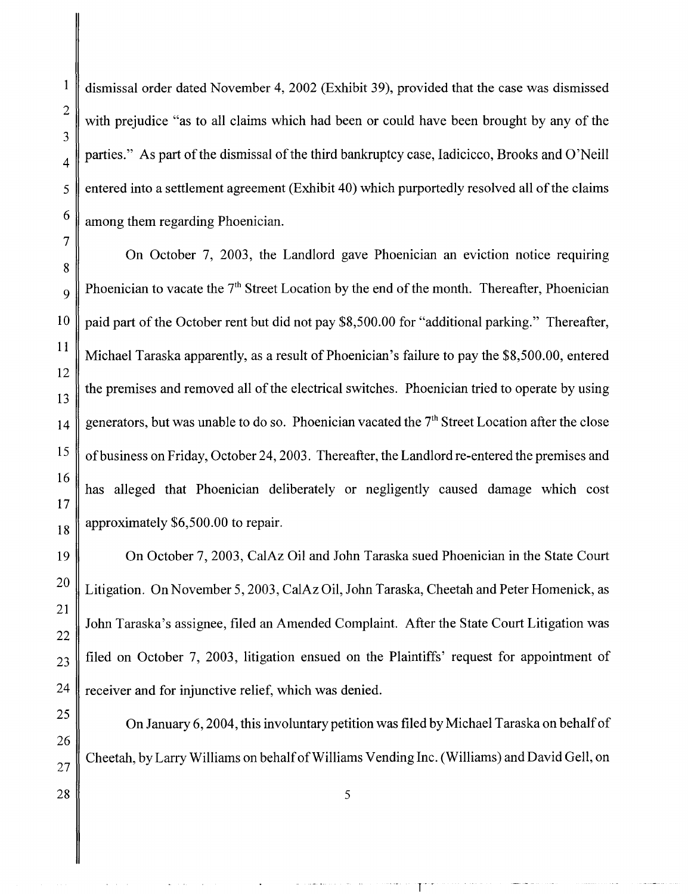dismissal order dated November 4, 2002 (Exhibit 39), provided that the case was dismissed with prejudice "as to all claims which had been or could have been brought by any of the parties." As part of the dismissal of the third bankruptcy case, Iadicicco, Brooks and O'Neill entered into a settlement agreement (Exhibit 40) which purportedly resolved all of the claims among them regarding Phoenician.

On October 7, 2003, the Landlord gave Phoenician an eviction notice requiring Phoenician to vacate the  $7<sup>th</sup>$  Street Location by the end of the month. Thereafter, Phoenician paid part of the October rent but did not pay \$8,500.00 for "additional parking." Thereafter, Michael Taraska apparently, as a result of Phoenician's failure to pay the \$8,500.00, entered the premises and removed all of the electrical switches. Phoenician tried to operate by using generators, but was unable to do so. Phoenician vacated the  $7<sup>th</sup>$  Street Location after the close ofbusiness on Friday, October 24, 2003. Thereafter, the Landlord re-entered the premises and has alleged that Phoenician deliberately or negligently caused damage which cost approximately \$6,500.00 to repair.

On October 7, 2003, CalAz Oil and John Taraska sued Phoenician in the State Court Litigation. On November 5, 2003, CalAz Oil, John Taraska, Cheetah and Peter Homenick, as John Taraska's assignee, filed an Amended Complaint. After the State Court Litigation was filed on October 7, 2003, litigation ensued on the Plaintiffs' request for appointment of receiver and for injunctive relief, which was denied.

On January 6, 2004, this involuntary petition was filed by Michael Taraska on behalf of Cheetah, by Larry Williams on behalf of Williams Vending Inc. (Williams) and David Gell, on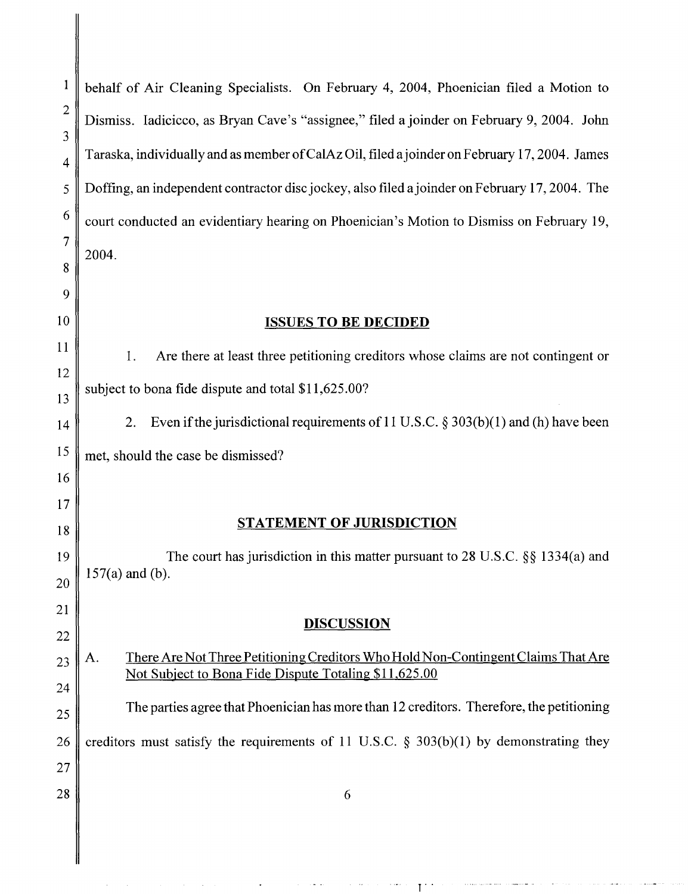II

| $\bf{l}$            | behalf of Air Cleaning Specialists. On February 4, 2004, Phoenician filed a Motion to                                                            |
|---------------------|--------------------------------------------------------------------------------------------------------------------------------------------------|
| $\overline{c}$<br>3 | Dismiss. Iadicicco, as Bryan Cave's "assignee," filed a joinder on February 9, 2004. John                                                        |
| 4                   | Taraska, individually and as member of CalAz Oil, filed a joinder on February 17, 2004. James                                                    |
| 5                   | Doffing, an independent contractor disc jockey, also filed a joinder on February 17, 2004. The                                                   |
| 6                   | court conducted an evidentiary hearing on Phoenician's Motion to Dismiss on February 19,                                                         |
| 7<br>8              | 2004.                                                                                                                                            |
| 9                   |                                                                                                                                                  |
| 0                   | <b>ISSUES TO BE DECIDED</b>                                                                                                                      |
| 1                   | Are there at least three petitioning creditors whose claims are not contingent or<br>1.                                                          |
| $\overline{c}$<br>3 | subject to bona fide dispute and total \$11,625.00?                                                                                              |
| 4                   | Even if the jurisdictional requirements of 11 U.S.C. $\S 303(b)(1)$ and (h) have been<br>2.                                                      |
| 5                   | met, should the case be dismissed?                                                                                                               |
| 6                   |                                                                                                                                                  |
| 7<br>8              | <b>STATEMENT OF JURISDICTION</b>                                                                                                                 |
| 9<br>$\overline{0}$ | The court has jurisdiction in this matter pursuant to 28 U.S.C. $\S$ § 1334(a) and<br>$157(a)$ and (b).                                          |
| $\mathbf{1}$        |                                                                                                                                                  |
| $\overline{c}$      | <b>DISCUSSION</b>                                                                                                                                |
| 3                   | There Are Not Three Petitioning Creditors Who Hold Non-Contingent Claims That Are<br>Α.<br>Not Subject to Bona Fide Dispute Totaling \$11,625.00 |
| 4                   | The parties agree that Phoenician has more than 12 creditors. Therefore, the petitioning                                                         |
| 5<br>6              | creditors must satisfy the requirements of 11 U.S.C. $\S$ 303(b)(1) by demonstrating they                                                        |
| 7                   |                                                                                                                                                  |
| 8                   | 6                                                                                                                                                |
|                     |                                                                                                                                                  |
|                     |                                                                                                                                                  |

 $\mathbf{r}$  .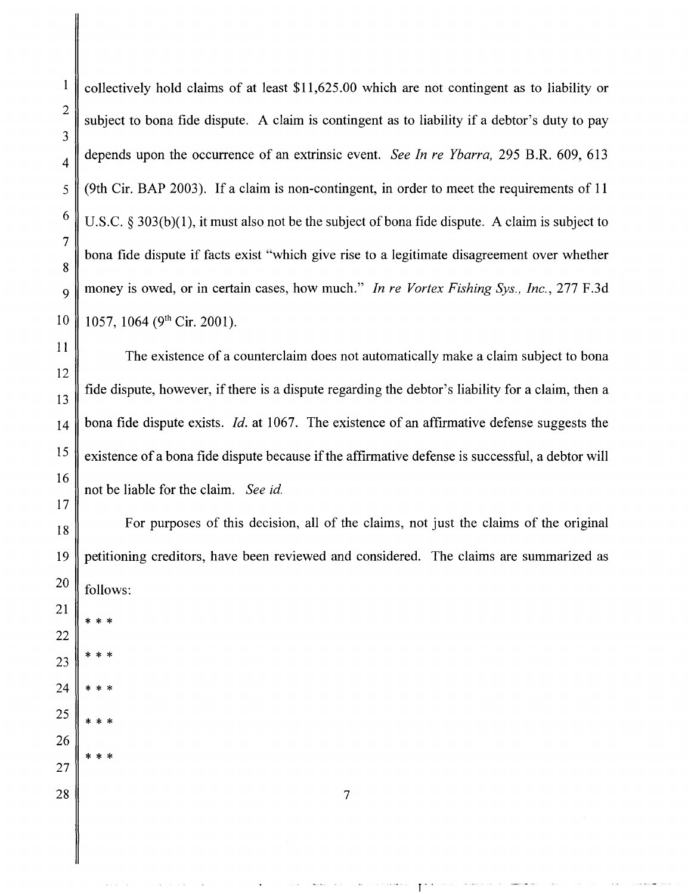$\frac{1}{1}$  collectively hold claims of at least \$11,625.00 which are not contingent as to liability or subject to bona fide dispute. A claim is contingent as to liability if a debtor's duty to pay depends upon the occurrence of an extrinsic event. *See In re Ybarra,* 295 B.R. 609, 613 (9th Cir. BAP 2003). If a claim is non-contingent, in order to meet the requirements of 11 U.S.C. § 303(b)(1), it must also not be the subject of bona fide dispute. A claim is subject to bona fide dispute if facts exist "which give rise to a legitimate disagreement over whether money is owed, or in certain cases, how much." *In re Vortex Fishing Sys., Inc.,* 277 F.3d 1057, 1064 (9<sup>th</sup> Cir. 2001).

The existence of a counterclaim does not automatically make a claim subject to bona fide dispute, however, if there is a dispute regarding the debtor's liability for a claim, then a bona fide dispute exists. *!d.* at 1067. The existence of an affirmative defense suggests the existence of a bona fide dispute because if the affirmative defense is successful, a debtor will not be liable for the claim. *See id.* 

For purposes of this decision, all of the claims, not just the claims of the original petitioning creditors, have been reviewed and considered. The claims are summarized as follows:

\* \* \*

\* \* \*

\* \* \*

\* \* \*

\* \* \*

7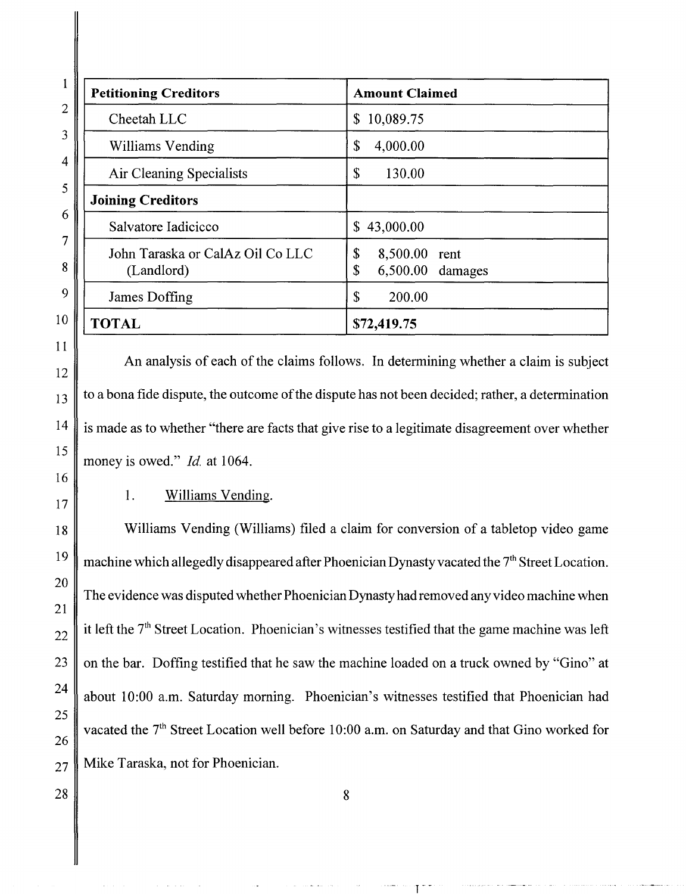| <b>Petitioning Creditors</b>                   | <b>Amount Claimed</b>                              |
|------------------------------------------------|----------------------------------------------------|
| Cheetah LLC                                    | 10,089.75<br>\$                                    |
| Williams Vending                               | \$<br>4,000.00                                     |
| Air Cleaning Specialists                       | \$<br>130.00                                       |
| <b>Joining Creditors</b>                       |                                                    |
| Salvatore Iadicicco                            | 43,000.00<br>\$                                    |
| John Taraska or CalAz Oil Co LLC<br>(Landlord) | \$<br>8,500.00<br>rent<br>\$<br>$6,500.00$ damages |
| James Doffing                                  | $\mathbb{S}$<br>200.00                             |
| <b>TOTAL</b>                                   | \$72,419.75                                        |

An analysis of each of the claims follows. In determining whether a claim is subject to a bona fide dispute, the outcome of the dispute has not been decided; rather, a determination is made as to whether "there are facts that give rise to a legitimate disagreement over whether money is owed." *Id.* at 1064.

1. Williams Vending.

Williams Vending (Williams) filed a claim for conversion of a tabletop video game machine which allegedly disappeared after Phoenician Dynasty vacated the  $7<sup>th</sup>$  Street Location. The evidence was disputed whether Phoenician Dynasty had removed any video machine when it left the  $7<sup>th</sup>$  Street Location. Phoenician's witnesses testified that the game machine was left on the bar. Doffing testified that he saw the machine loaded on a truck owned by "Gino" at about 10:00 a.m. Saturday morning. Phoenician's witnesses testified that Phoenician had vacated the 7<sup>th</sup> Street Location well before 10:00 a.m. on Saturday and that Gino worked for Mike Taraska, not for Phoenician.

1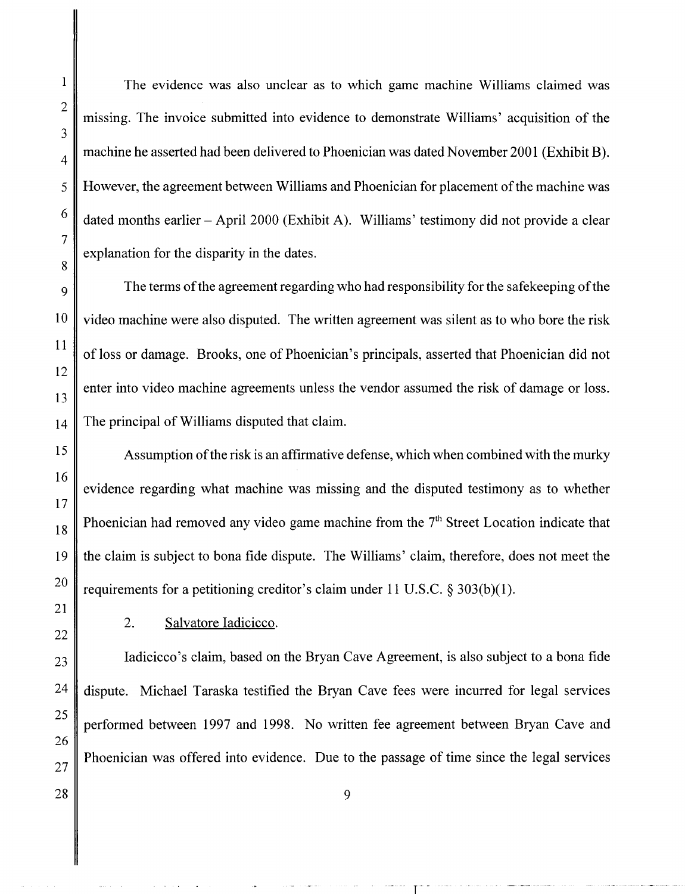The evidence was also unclear as to which game machine Williams claimed was missing. The invoice submitted into evidence to demonstrate Williams' acquisition of the machine he asserted had been delivered to Phoenician was dated November 2001 (Exhibit B). However, the agreement between Williams and Phoenician for placement of the machine was dated months earlier - April 2000 (Exhibit A). Williams' testimony did not provide a clear explanation for the disparity in the dates.

The terms of the agreement regarding who had responsibility for the safekeeping of the video machine were also disputed. The written agreement was silent as to who bore the risk of loss or damage. Brooks, one of Phoenician's principals, asserted that Phoenician did not enter into video machine agreements unless the vendor assumed the risk of damage or loss. The principal of Williams disputed that claim.

Assumption of the risk is an affirmative defense, which when combined with the murky evidence regarding what machine was missing and the disputed testimony as to whether Phoenician had removed any video game machine from the 7<sup>th</sup> Street Location indicate that the claim is subject to bona fide dispute. The Williams' claim, therefore, does not meet the requirements for a petitioning creditor's claim under 11 U.S.C. § 303(b)(1).

2. Salvatore Iadicicco.

Iadicicco's claim, based on the Bryan Cave Agreement, is also subject to a bona fide dispute. Michael Taraska testified the Bryan Cave fees were incurred for legal services performed between 1997 and 1998. No written fee agreement between Bryan Cave and Phoenician was offered into evidence. Due to the passage of time since the legal services

r--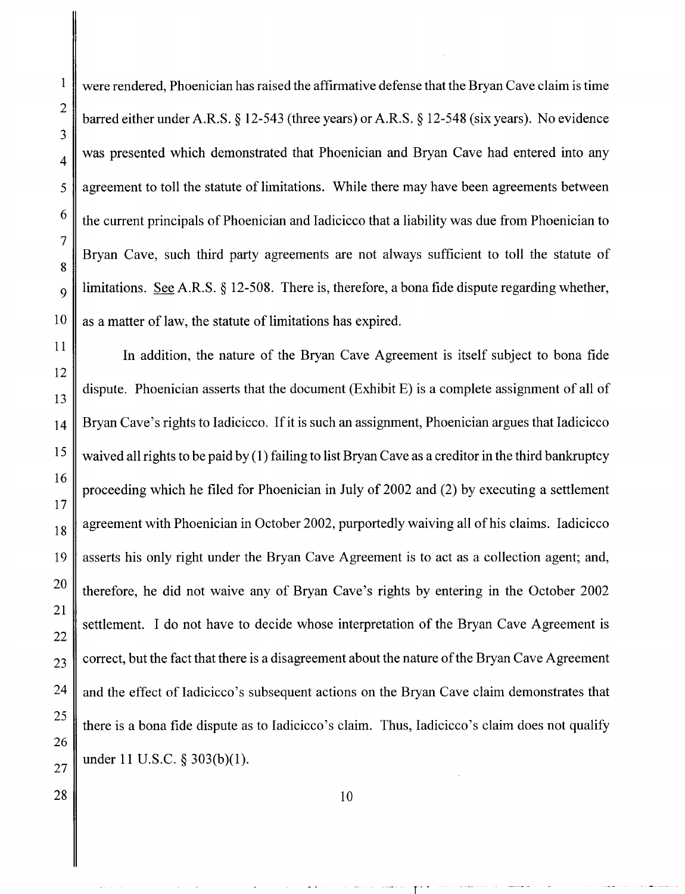were rendered, Phoenician has raised the affirmative defense that the Bryan Cave claim is time barred either under A.R.S. § 12-543 (three years) or A.R.S. § 12-548 (six years). No evidence was presented which demonstrated that Phoenician and Bryan Cave had entered into any agreement to toll the statute of limitations. While there may have been agreements between the current principals of Phoenician and Iadicicco that a liability was due from Phoenician to Bryan Cave, such third party agreements are not always sufficient to toll the statute of limitations. See A.R.S. § 12-508. There is, therefore, a bona fide dispute regarding whether, as a matter of law, the statute of limitations has expired.

In addition, the nature of the Bryan Cave Agreement is itself subject to bona fide dispute. Phoenician asserts that the document (Exhibit E) is a complete assignment of all of Bryan Cave's rights to Iadicicco. If it is such an assignment, Phoenician argues that Iadicicco waived all rights to be paid by (1) failing to list Bryan Cave as a creditor in the third bankruptcy proceeding which he filed for Phoenician in July of 2002 and (2) by executing a settlement agreement with Phoenician in October 2002, purportedly waiving all of his claims. Iadicicco asserts his only right under the Bryan Cave Agreement is to act as a collection agent; and, therefore, he did not waive any of Bryan Cave's rights by entering in the October 2002 settlement. I do not have to decide whose interpretation of the Bryan Cave Agreement is correct, but the fact that there is a disagreement about the nature of the Bryan Cave Agreement and the effect of Iadicicco 's subsequent actions on the Bryan Cave claim demonstrates that there is a bona fide dispute as to Iadicicco's claim. Thus, Iadicicco's claim does not qualify under 11 U.S.C. § 303(b)(l).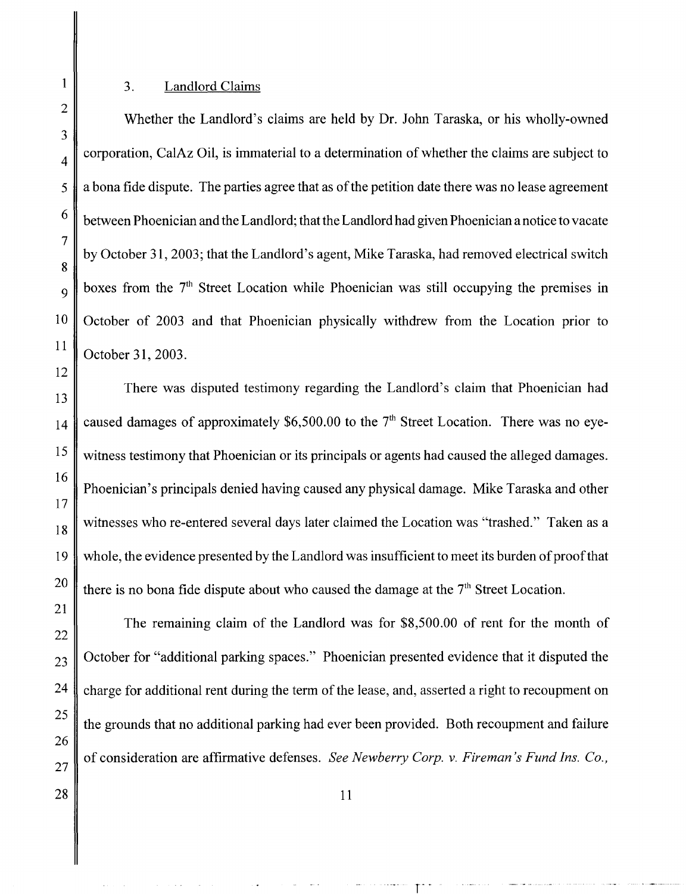#### 3. Landlord Claims

Whether the Landlord's claims are held by Dr. John Taraska, or his wholly-owned corporation, CalAz Oil, is immaterial to a determination of whether the claims are subject to a bona fide dispute. The parties agree that as of the petition date there was no lease agreement between Phoenician and the Landlord; that the Landlord had given Phoenician a notice to vacate by October 31, 2003; that the Landlord's agent, Mike Taraska, had removed electrical switch boxes from the  $7<sup>th</sup>$  Street Location while Phoenician was still occupying the premises in October of 2003 and that Phoenician physically withdrew from the Location prior to October 31, 2003.

There was disputed testimony regarding the Landlord's claim that Phoenician had caused damages of approximately \$6,500.00 to the  $7<sup>th</sup>$  Street Location. There was no eyewitness testimony that Phoenician or its principals or agents had caused the alleged damages. Phoenician's principals denied having caused any physical damage. Mike Taraska and other witnesses who re-entered several days later claimed the Location was "trashed." Taken as a whole, the evidence presented by the Landlord was insufficient to meet its burden of proof that there is no bona fide dispute about who caused the damage at the  $7<sup>th</sup>$  Street Location.

The remaining claim of the Landlord was for \$8,500.00 of rent for the month of October for "additional parking spaces." Phoenician presented evidence that it disputed the charge for additional rent during the term of the lease, and, asserted a right to recoupment on the grounds that no additional parking had ever been provided. Both recoupment and failure of consideration are affirmative defenses. *See Newberry Corp. v. Fireman's Fund Ins. Co.,*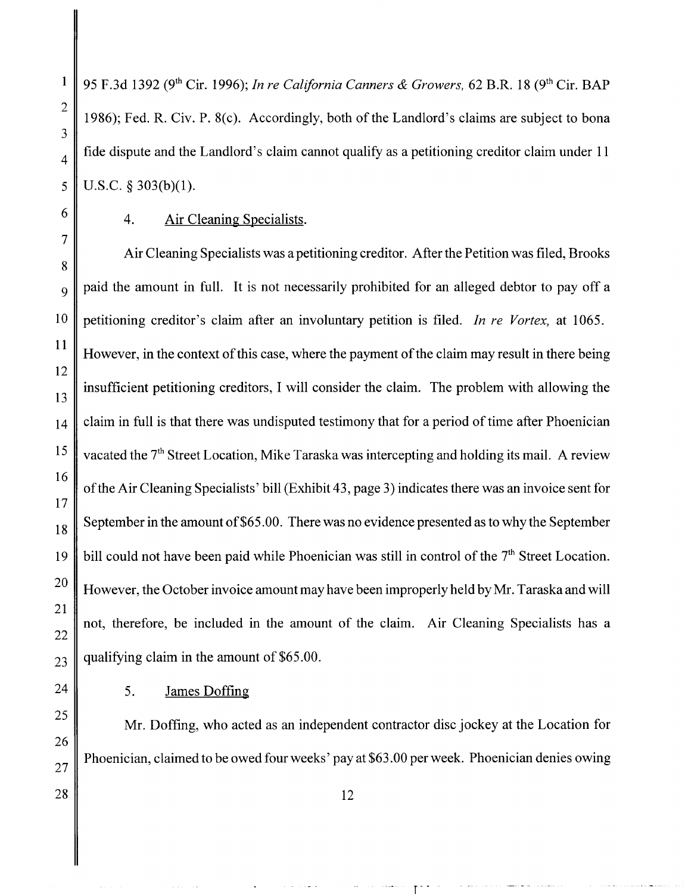95 F.3d 1392 (9th Cir. 1996); *In re California Canners & Growers,* 62 B.R. 18 (9th Cir. BAP 1986); Fed. R. Civ. P. 8(c). Accordingly, both of the Landlord's claims are subject to bona fide dispute and the Landlord's claim cannot qualify as a petitioning creditor claim under 11 U.S.C. § 303(b)(1).

1

2

3

4

#### 4. Air Cleaning Specialists.

Air Cleaning Specialists was a petitioning creditor. After the Petition was filed, Brooks paid the amount in full. It is not necessarily prohibited for an alleged debtor to pay off a petitioning creditor's claim after an involuntary petition is filed. *In re Vortex,* at 1065. However, in the context of this case, where the payment of the claim may result in there being insufficient petitioning creditors, I will consider the claim. The problem with allowing the claim in full is that there was undisputed testimony that for a period of time after Phoenician vacated the  $7<sup>th</sup>$  Street Location, Mike Taraska was intercepting and holding its mail. A review of the Air Cleaning Specialists' bill (Exhibit 43, page 3) indicates there was an invoice sent for September in the amount of \$65.00. There was no evidence presented as to why the September bill could not have been paid while Phoenician was still in control of the  $7<sup>th</sup>$  Street Location. However, the October invoice amount may have been improperly held by Mr. Taraska and will not, therefore, be included in the amount of the claim. Air Cleaning Specialists has a qualifying claim in the amount of \$65.00.

### 5. James Doffing

Mr. Doffing, who acted as an independent contractor disc jockey at the Location for Phoenician, claimed to be owed four weeks' pay at \$63.00 per week. Phoenician denies owing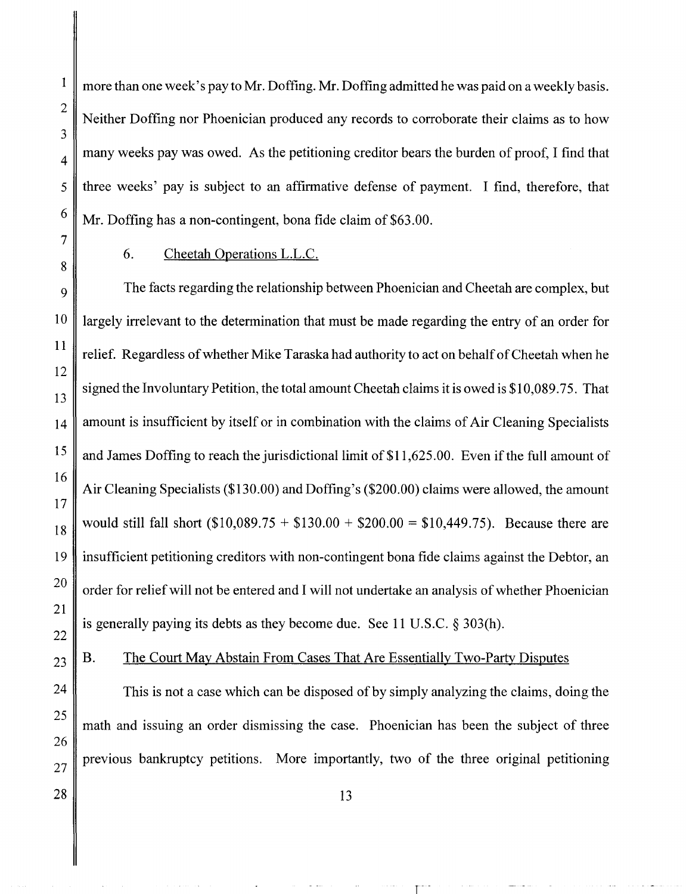more than one week's pay to Mr. Doffing. Mr. Doffing admitted he was paid on a weekly basis. Neither Doffing nor Phoenician produced any records to corroborate their claims as to how many weeks pay was owed. As the petitioning creditor bears the burden of proof, I find that three weeks' pay is subject to an affirmative defense of payment. I find, therefore, that Mr. Doffing has a non-contingent, bona fide claim of \$63.00.

1

2

3

4

5

6

7

8

9

10

## 6. Cheetah Operations L.L.C.

The facts regarding the relationship between Phoenician and Cheetah are complex, but largely irrelevant to the determination that must be made regarding the entry of an order for relief. Regardless of whether Mike Taraska had authority to act on behalf of Cheetah when he signed the Involuntary Petition, the total amount Cheetah claims it is owed is \$10,089.75. That amount is insufficient by itself or in combination with the claims of Air Cleaning Specialists and James Doffing to reach the jurisdictional limit of \$11,625.00. Even if the full amount of Air Cleaning Specialists (\$130.00) and Doffing's (\$200.00) claims were allowed, the amount would still fall short  $(\$10,089.75 + \$130.00 + \$200.00 = \$10,449.75)$ . Because there are insufficient petitioning creditors with non-contingent bona fide claims against the Debtor, an order for relief will not be entered and I will not undertake an analysis of whether Phoenician is generally paying its debts as they become due. See 11 U.S.C. § 303(h).

### B. The Court May Abstain From Cases That Are Essentially Two-Party Disputes

This is not a case which can be disposed of by simply analyzing the claims, doing the math and issuing an order dismissing the case. Phoenician has been the subject of three previous bankruptcy petitions. More importantly, two of the three original petitioning

r-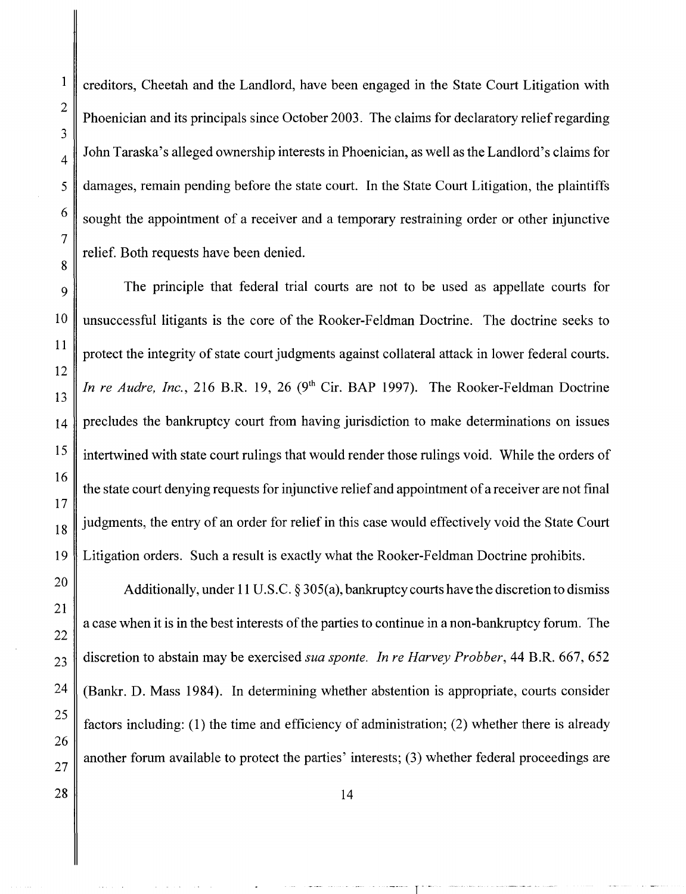creditors, Cheetah and the Landlord, have been engaged in the State Court Litigation with Phoenician and its principals since October 2003. The claims for declaratory relief regarding John Taraska's alleged ownership interests in Phoenician, as well as the Landlord's claims for damages, remain pending before the state court. In the State Court Litigation, the plaintiffs sought the appointment of a receiver and a temporary restraining order or other injunctive relief. Both requests have been denied.

The principle that federal trial courts are not to be used as appellate courts for unsuccessful litigants is the core of the Rooker-Feldman Doctrine. The doctrine seeks to protect the integrity of state court judgments against collateral attack in lower federal courts. *In re Audre, Inc.*, 216 B.R. 19, 26 (9<sup>th</sup> Cir. BAP 1997). The Rooker-Feldman Doctrine precludes the bankruptcy court from having jurisdiction to make determinations on issues intertwined with state court rulings that would render those rulings void. While the orders of the state court denying requests for injunctive relief and appointment of a receiver are not final  $18$  judgments, the entry of an order for relief in this case would effectively void the State Court Litigation orders. Such a result is exactly what the Rooker-Feldman Doctrine prohibits.

Additionally, under 11 U.S.C.  $\S 305(a)$ , bankruptcy courts have the discretion to dismiss a case when it is in the best interests of the parties to continue in a non-bankruptcy forum. The discretion to abstain may be exercised *sua sponte. In re Harvey Probber,* 44 B.R. 667, 652 (Bankr, D. Mass 1984). In determining whether abstention is appropriate, courts consider factors including: (1) the time and efficiency of administration; (2) whether there is already another forum available to protect the parties' interests; (3) whether federal proceedings are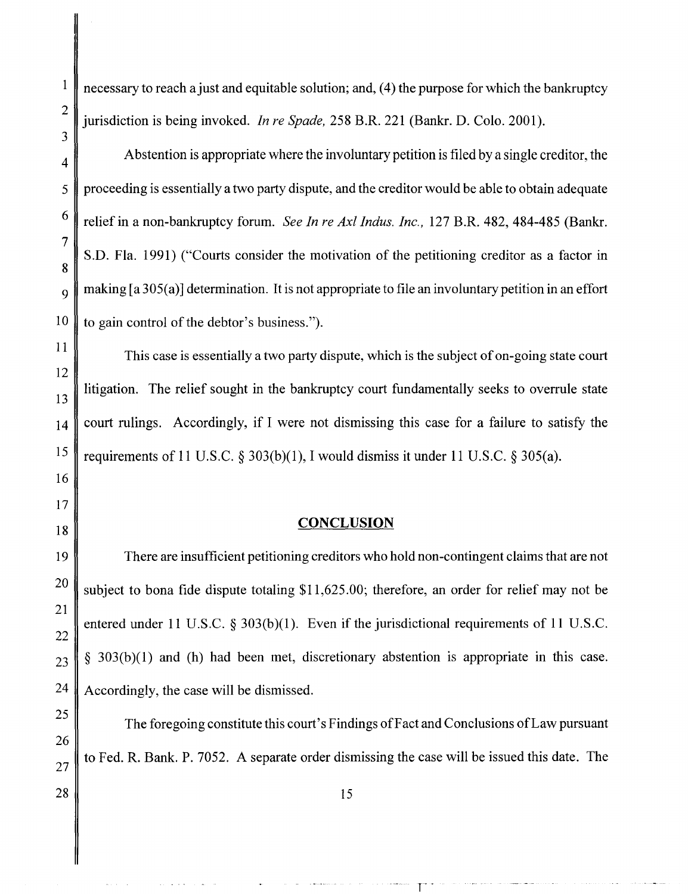$\mathbf{1}$ 

27

necessary to reach a just and equitable solution; and, (4) the purpose for which the bankruptcy jurisdiction is being invoked. *In re Spade,* 258 B.R. 221 (Bankr. D. Colo. 2001).

Abstention is appropriate where the involuntary petition is filed by a single creditor, the proceeding is essentially a two party dispute, and the creditor would be able to obtain adequate 6 relief in a non-bankruptcy forum. *See In re Ax! Indus. Inc.,* 127 B.R. 482, 484-485 (Bankr. S.D. Fla. 1991) ("Courts consider the motivation of the petitioning creditor as a factor in  $\mathcal{O}_9$  making [a 305(a)] determination. It is not appropriate to file an involuntary petition in an effort  $10 \parallel$  to gain control of the debtor's business.").

This case is essentially a two party dispute, which is the subject of on-going state court litigation. The relief sought in the bankruptcy court fundamentally seeks to overrule state court rulings. Accordingly, if I were not dismissing this case for a failure to satisfy the requirements of 11 U.S.C.  $\S 303(b)(1)$ , I would dismiss it under 11 U.S.C.  $\S 305(a)$ .

### **CONCLUSION**

There are insufficient petitioning creditors who hold non-contingent claims that are not subject to bona fide dispute totaling \$11,625.00; therefore, an order for relief may not be entered under 11 U.S.C.  $\S 303(b)(1)$ . Even if the jurisdictional requirements of 11 U.S.C. *§* 3 03 (b )(I) and (h) had been met, discretionary abstention is appropriate in this case. 24 Accordingly, the case will be dismissed.

The foregoing constitute this court's Findings of Fact and Conclusions of Law pursuant to Fed. R. Bank. P. 7052. A separate order dismissing the case will be issued this date. The

r·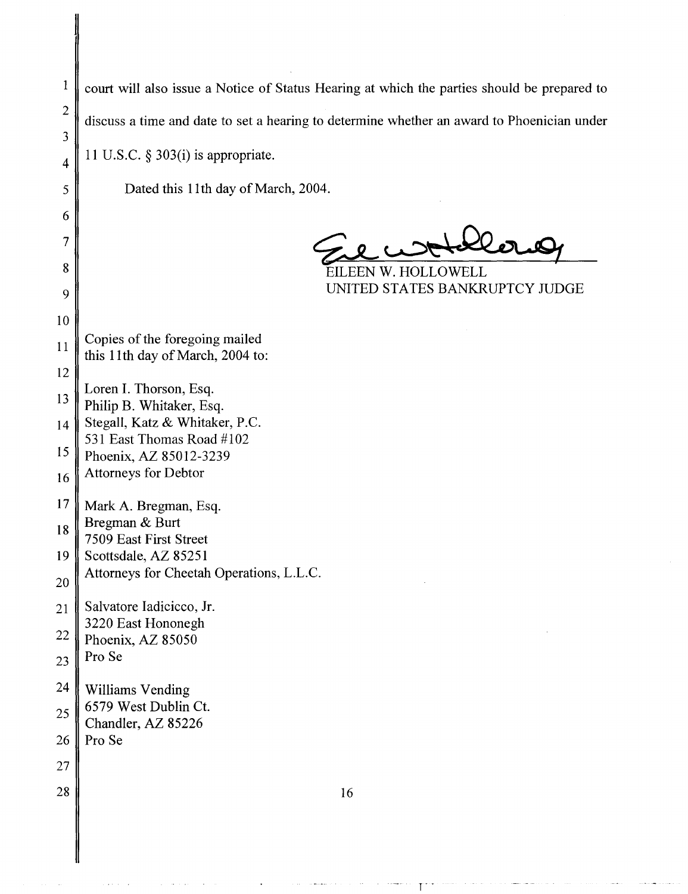$\vert$  court will also issue a Notice of Status Hearing at which the parties should be prepared to discuss a time and date to set a hearing to determine whether an award to Phoenician under 11 U.S.C. § 303(i) is appropriate.

Dated this 11th day of March, 2004.

~~~.QQ.o....9

EILEEN W. HOLLOWELL UNITED STATES BANKRUPTCY JUDGE

11 12 Copies of the foregoing mailed this 11th day of March, 2004 to:

13 Loren I. Thorson, Esq. Philip B. Whitaker, Esq.

14 15 Stegall, Katz & Whitaker, P.C. 531 East Thomas Road #102 Phoenix, AZ 85012-3239

16 Attorneys for Debtor

17 Mark A. Bregman, Esq.

18 Bregman & Burt 7509 East First Street

19 Scottsdale, AZ 85251

20 Attorneys for Cheetah Operations, L.L.C.

21 22 Salvatore Iadicicco, Jr. 3220 East Hononegh Phoenix, AZ 85050

23 Pro Se

2

3

4

5

6

7

8

9

10

24 25 Williams Vending 6579 West Dublin Ct. Chandler, AZ 85226

26 Pro Se

27 28

16